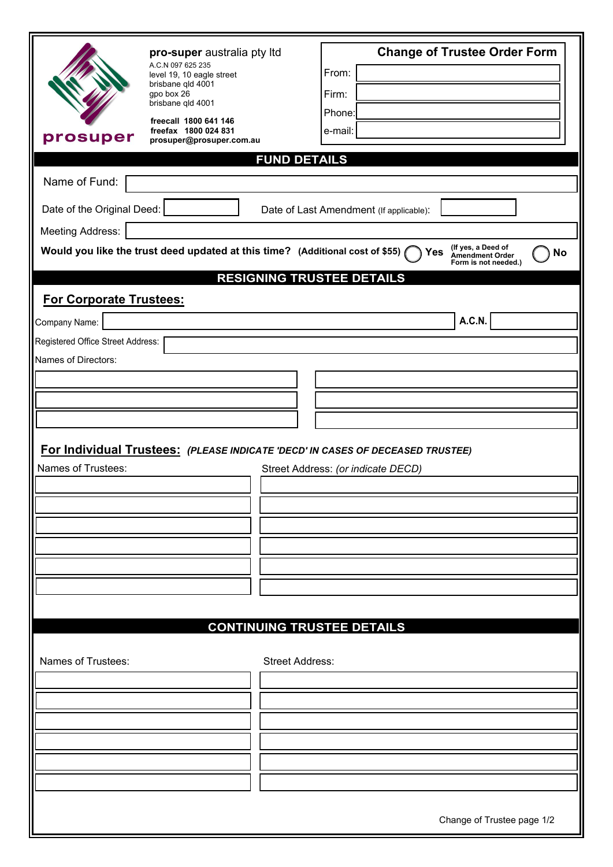| prosuper                                                                                                                                                                  | pro-super australia pty Itd<br>A.C.N 097 625 235<br>level 19, 10 eagle street<br>brisbane qld 4001<br>gpo box 26<br>brisbane qld 4001<br>freecall 1800 641 146<br>freefax 1800 024 831<br>prosuper@prosuper.com.au |                        | From:<br>Firm:<br>Phone:<br>e-mail:     | <b>Change of Trustee Order Form</b> |  |  |  |
|---------------------------------------------------------------------------------------------------------------------------------------------------------------------------|--------------------------------------------------------------------------------------------------------------------------------------------------------------------------------------------------------------------|------------------------|-----------------------------------------|-------------------------------------|--|--|--|
| <b>FUND DETAILS</b>                                                                                                                                                       |                                                                                                                                                                                                                    |                        |                                         |                                     |  |  |  |
| Name of Fund:                                                                                                                                                             |                                                                                                                                                                                                                    |                        |                                         |                                     |  |  |  |
| Date of the Original Deed:                                                                                                                                                |                                                                                                                                                                                                                    |                        | Date of Last Amendment (If applicable): |                                     |  |  |  |
| <b>Meeting Address:</b>                                                                                                                                                   |                                                                                                                                                                                                                    |                        |                                         |                                     |  |  |  |
| (If yes, a Deed of<br>Would you like the trust deed updated at this time? (Additional cost of \$55)<br>Yes<br><b>No</b><br><b>Amendment Order</b><br>Form is not needed.) |                                                                                                                                                                                                                    |                        |                                         |                                     |  |  |  |
| <b>RESIGNING TRUSTEE DETAILS</b><br><b>For Corporate Trustees:</b>                                                                                                        |                                                                                                                                                                                                                    |                        |                                         |                                     |  |  |  |
| Company Name:                                                                                                                                                             |                                                                                                                                                                                                                    |                        |                                         | A.C.N.                              |  |  |  |
| Registered Office Street Address:                                                                                                                                         |                                                                                                                                                                                                                    |                        |                                         |                                     |  |  |  |
| Names of Directors:                                                                                                                                                       |                                                                                                                                                                                                                    |                        |                                         |                                     |  |  |  |
|                                                                                                                                                                           |                                                                                                                                                                                                                    |                        |                                         |                                     |  |  |  |
|                                                                                                                                                                           |                                                                                                                                                                                                                    |                        |                                         |                                     |  |  |  |
|                                                                                                                                                                           |                                                                                                                                                                                                                    |                        |                                         |                                     |  |  |  |
| For Individual Trustees: (PLEASE INDICATE 'DECD' IN CASES OF DECEASED TRUSTEE)                                                                                            |                                                                                                                                                                                                                    |                        |                                         |                                     |  |  |  |
| Names of Trustees:                                                                                                                                                        |                                                                                                                                                                                                                    |                        | Street Address: (or indicate DECD)      |                                     |  |  |  |
|                                                                                                                                                                           |                                                                                                                                                                                                                    |                        |                                         |                                     |  |  |  |
|                                                                                                                                                                           |                                                                                                                                                                                                                    |                        |                                         |                                     |  |  |  |
|                                                                                                                                                                           |                                                                                                                                                                                                                    |                        |                                         |                                     |  |  |  |
|                                                                                                                                                                           |                                                                                                                                                                                                                    |                        |                                         |                                     |  |  |  |
|                                                                                                                                                                           |                                                                                                                                                                                                                    |                        |                                         |                                     |  |  |  |
|                                                                                                                                                                           |                                                                                                                                                                                                                    |                        |                                         |                                     |  |  |  |
|                                                                                                                                                                           |                                                                                                                                                                                                                    |                        |                                         |                                     |  |  |  |
|                                                                                                                                                                           |                                                                                                                                                                                                                    |                        | <b>CONTINUING TRUSTEE DETAILS</b>       |                                     |  |  |  |
| Names of Trustees:                                                                                                                                                        |                                                                                                                                                                                                                    | <b>Street Address:</b> |                                         |                                     |  |  |  |
|                                                                                                                                                                           |                                                                                                                                                                                                                    |                        |                                         |                                     |  |  |  |
|                                                                                                                                                                           |                                                                                                                                                                                                                    |                        |                                         |                                     |  |  |  |
|                                                                                                                                                                           |                                                                                                                                                                                                                    |                        |                                         |                                     |  |  |  |
|                                                                                                                                                                           |                                                                                                                                                                                                                    |                        |                                         |                                     |  |  |  |
|                                                                                                                                                                           |                                                                                                                                                                                                                    |                        |                                         |                                     |  |  |  |
|                                                                                                                                                                           |                                                                                                                                                                                                                    |                        |                                         |                                     |  |  |  |
| Change of Trustee page 1/2                                                                                                                                                |                                                                                                                                                                                                                    |                        |                                         |                                     |  |  |  |